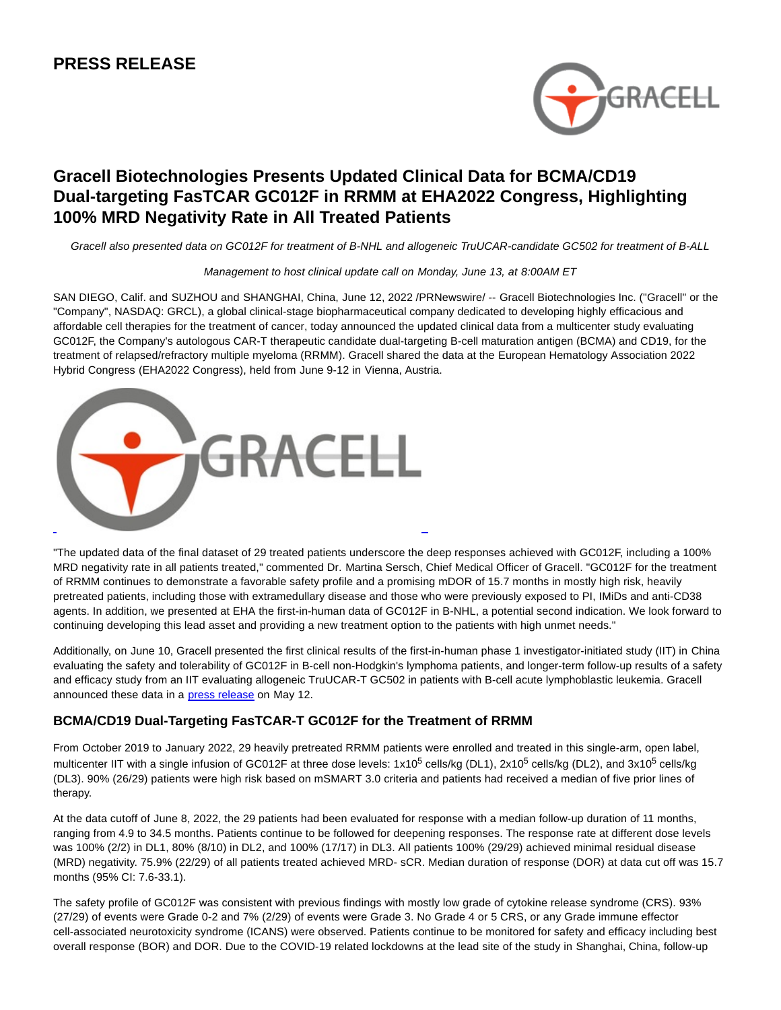# **PRESS RELEASE**



# **Gracell Biotechnologies Presents Updated Clinical Data for BCMA/CD19 Dual-targeting FasTCAR GC012F in RRMM at EHA2022 Congress, Highlighting 100% MRD Negativity Rate in All Treated Patients**

Gracell also presented data on GC012F for treatment of B-NHL and allogeneic TruUCAR-candidate GC502 for treatment of B-ALL

### Management to host clinical update call on Monday, June 13, at 8:00AM ET

SAN DIEGO, Calif. and SUZHOU and SHANGHAI, China, June 12, 2022 /PRNewswire/ -- Gracell Biotechnologies Inc. ("Gracell" or the "Company", NASDAQ: GRCL), a global clinical-stage biopharmaceutical company dedicated to developing highly efficacious and affordable cell therapies for the treatment of cancer, today announced the updated clinical data from a multicenter study evaluating GC012F, the Company's autologous CAR-T therapeutic candidate dual-targeting B-cell maturation antigen (BCMA) and CD19, for the treatment of relapsed/refractory multiple myeloma (RRMM). Gracell shared the data at the European Hematology Association 2022 Hybrid Congress (EHA2022 Congress), held from June 9-12 in Vienna, Austria.



"The updated data of the final dataset of 29 treated patients underscore the deep responses achieved with GC012F, including a 100% MRD negativity rate in all patients treated," commented Dr. Martina Sersch, Chief Medical Officer of Gracell. "GC012F for the treatment of RRMM continues to demonstrate a favorable safety profile and a promising mDOR of 15.7 months in mostly high risk, heavily pretreated patients, including those with extramedullary disease and those who were previously exposed to PI, IMiDs and anti-CD38 agents. In addition, we presented at EHA the first-in-human data of GC012F in B-NHL, a potential second indication. We look forward to continuing developing this lead asset and providing a new treatment option to the patients with high unmet needs."

Additionally, on June 10, Gracell presented the first clinical results of the first-in-human phase 1 investigator-initiated study (IIT) in China evaluating the safety and tolerability of GC012F in B-cell non-Hodgkin's lymphoma patients, and longer-term follow-up results of a safety and efficacy study from an IIT evaluating allogeneic TruUCAR-T GC502 in patients with B-cell acute lymphoblastic leukemia. Gracell announced these data in a **press release** on May 12.

# **BCMA/CD19 Dual-Targeting FasTCAR-T GC012F for the Treatment of RRMM**

From October 2019 to January 2022, 29 heavily pretreated RRMM patients were enrolled and treated in this single-arm, open label, multicenter IIT with a single infusion of GC012F at three dose levels: 1x10<sup>5</sup> cells/kg (DL1), 2x10<sup>5</sup> cells/kg (DL2), and 3x10<sup>5</sup> cells/kg (DL3). 90% (26/29) patients were high risk based on mSMART 3.0 criteria and patients had received a median of five prior lines of therapy.

At the data cutoff of June 8, 2022, the 29 patients had been evaluated for response with a median follow-up duration of 11 months, ranging from 4.9 to 34.5 months. Patients continue to be followed for deepening responses. The response rate at different dose levels was 100% (2/2) in DL1, 80% (8/10) in DL2, and 100% (17/17) in DL3. All patients 100% (29/29) achieved minimal residual disease (MRD) negativity. 75.9% (22/29) of all patients treated achieved MRD- sCR. Median duration of response (DOR) at data cut off was 15.7 months (95% CI: 7.6-33.1).

The safety profile of GC012F was consistent with previous findings with mostly low grade of cytokine release syndrome (CRS). 93% (27/29) of events were Grade 0-2 and 7% (2/29) of events were Grade 3. No Grade 4 or 5 CRS, or any Grade immune effector cell-associated neurotoxicity syndrome (ICANS) were observed. Patients continue to be monitored for safety and efficacy including best overall response (BOR) and DOR. Due to the COVID-19 related lockdowns at the lead site of the study in Shanghai, China, follow-up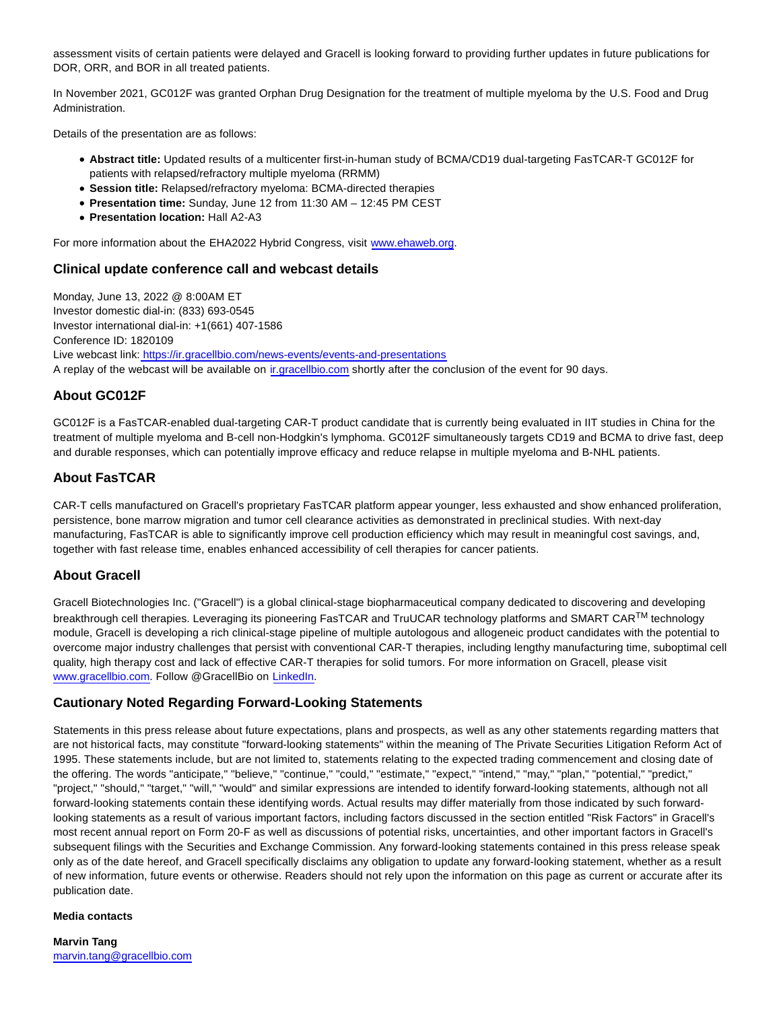assessment visits of certain patients were delayed and Gracell is looking forward to providing further updates in future publications for DOR, ORR, and BOR in all treated patients.

In November 2021, GC012F was granted Orphan Drug Designation for the treatment of multiple myeloma by the U.S. Food and Drug Administration.

Details of the presentation are as follows:

- **Abstract title:** Updated results of a multicenter first-in-human study of BCMA/CD19 dual-targeting FasTCAR-T GC012F for patients with relapsed/refractory multiple myeloma (RRMM)
- **Session title:** Relapsed/refractory myeloma: BCMA-directed therapies
- **Presentation time:** Sunday, June 12 from 11:30 AM 12:45 PM CEST
- **Presentation location:** Hall A2-A3

For more information about the EHA2022 Hybrid Congress, visit [www.ehaweb.org.](http://www.ehaweb.org/)

## **Clinical update conference call and webcast details**

Monday, June 13, 2022 @ 8:00AM ET Investor domestic dial-in: (833) 693-0545 Investor international dial-in: +1(661) 407-1586 Conference ID: 1820109 Live webcast link[: https://ir.gracellbio.com/news-events/events-and-presentations](https://ir.gracellbio.com/news-events/events-and-presentations) A replay of the webcast will be available on [ir.gracellbio.com s](https://www.globenewswire.com/Tracker?data=n0WvhlUNv5aEFUbhzjL43PUgiXNtqleAHCjg8keJA8aFSecLWyNhTtWwHJAuMBBxheB5XBNOL3Dw8saODmp7Acmbl_hlU0uHI1SbjabKZnM=)hortly after the conclusion of the event for 90 days.

## **About GC012F**

GC012F is a FasTCAR-enabled dual-targeting CAR-T product candidate that is currently being evaluated in IIT studies in China for the treatment of multiple myeloma and B-cell non-Hodgkin's lymphoma. GC012F simultaneously targets CD19 and BCMA to drive fast, deep and durable responses, which can potentially improve efficacy and reduce relapse in multiple myeloma and B-NHL patients.

# **About FasTCAR**

CAR-T cells manufactured on Gracell's proprietary FasTCAR platform appear younger, less exhausted and show enhanced proliferation, persistence, bone marrow migration and tumor cell clearance activities as demonstrated in preclinical studies. With next-day manufacturing, FasTCAR is able to significantly improve cell production efficiency which may result in meaningful cost savings, and, together with fast release time, enables enhanced accessibility of cell therapies for cancer patients.

## **About Gracell**

Gracell Biotechnologies Inc. ("Gracell") is a global clinical-stage biopharmaceutical company dedicated to discovering and developing breakthrough cell therapies. Leveraging its pioneering FasTCAR and TruUCAR technology platforms and SMART CARTM technology module, Gracell is developing a rich clinical-stage pipeline of multiple autologous and allogeneic product candidates with the potential to overcome major industry challenges that persist with conventional CAR-T therapies, including lengthy manufacturing time, suboptimal cell quality, high therapy cost and lack of effective CAR-T therapies for solid tumors. For more information on Gracell, please visit [www.gracellbio.com.](http://www.gracellbio.com/) Follow @GracellBio on [LinkedIn.](https://www.linkedin.com/company/gracellbio)

## **Cautionary Noted Regarding Forward-Looking Statements**

Statements in this press release about future expectations, plans and prospects, as well as any other statements regarding matters that are not historical facts, may constitute "forward-looking statements" within the meaning of The Private Securities Litigation Reform Act of 1995. These statements include, but are not limited to, statements relating to the expected trading commencement and closing date of the offering. The words "anticipate," "believe," "continue," "could," "estimate," "expect," "intend," "may," "plan," "potential," "predict," "project," "should," "target," "will," "would" and similar expressions are intended to identify forward-looking statements, although not all forward-looking statements contain these identifying words. Actual results may differ materially from those indicated by such forwardlooking statements as a result of various important factors, including factors discussed in the section entitled "Risk Factors" in Gracell's most recent annual report on Form 20-F as well as discussions of potential risks, uncertainties, and other important factors in Gracell's subsequent filings with the Securities and Exchange Commission. Any forward-looking statements contained in this press release speak only as of the date hereof, and Gracell specifically disclaims any obligation to update any forward-looking statement, whether as a result of new information, future events or otherwise. Readers should not rely upon the information on this page as current or accurate after its publication date.

#### **Media contacts**